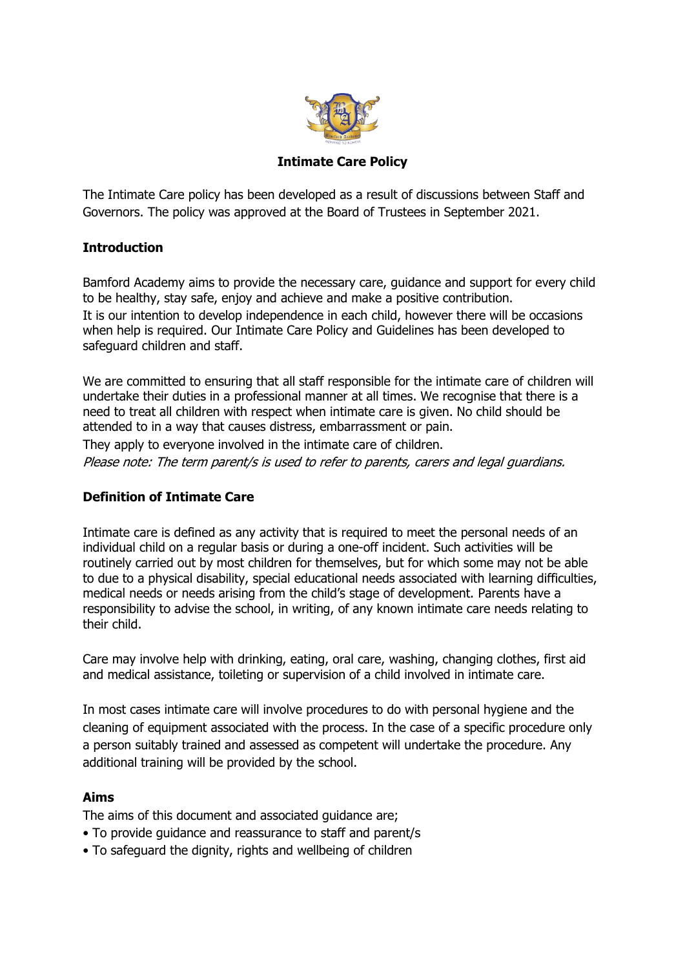

**Intimate Care Policy**

The Intimate Care policy has been developed as a result of discussions between Staff and Governors. The policy was approved at the Board of Trustees in September 2021.

# **Introduction**

Bamford Academy aims to provide the necessary care, guidance and support for every child to be healthy, stay safe, enjoy and achieve and make a positive contribution. It is our intention to develop independence in each child, however there will be occasions when help is required. Our Intimate Care Policy and Guidelines has been developed to safeguard children and staff.

We are committed to ensuring that all staff responsible for the intimate care of children will undertake their duties in a professional manner at all times. We recognise that there is a need to treat all children with respect when intimate care is given. No child should be attended to in a way that causes distress, embarrassment or pain.

They apply to everyone involved in the intimate care of children.

Please note: The term parent/s is used to refer to parents, carers and legal guardians.

## **Definition of Intimate Care**

Intimate care is defined as any activity that is required to meet the personal needs of an individual child on a regular basis or during a one-off incident. Such activities will be routinely carried out by most children for themselves, but for which some may not be able to due to a physical disability, special educational needs associated with learning difficulties, medical needs or needs arising from the child's stage of development. Parents have a responsibility to advise the school, in writing, of any known intimate care needs relating to their child.

Care may involve help with drinking, eating, oral care, washing, changing clothes, first aid and medical assistance, toileting or supervision of a child involved in intimate care.

In most cases intimate care will involve procedures to do with personal hygiene and the cleaning of equipment associated with the process. In the case of a specific procedure only a person suitably trained and assessed as competent will undertake the procedure. Any additional training will be provided by the school.

## **Aims**

The aims of this document and associated guidance are;

- To provide guidance and reassurance to staff and parent/s
- To safeguard the dignity, rights and wellbeing of children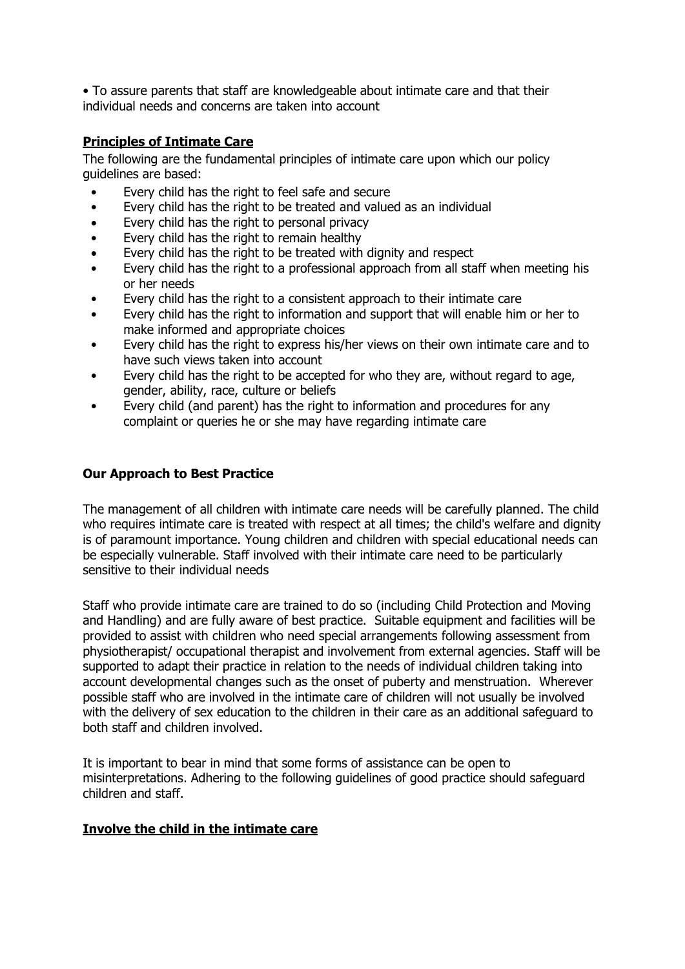• To assure parents that staff are knowledgeable about intimate care and that their individual needs and concerns are taken into account

## **Principles of Intimate Care**

The following are the fundamental principles of intimate care upon which our policy guidelines are based:

- Every child has the right to feel safe and secure
- Every child has the right to be treated and valued as an individual
- Every child has the right to personal privacy
- Every child has the right to remain healthy
- Every child has the right to be treated with dignity and respect
- Every child has the right to a professional approach from all staff when meeting his or her needs
- Every child has the right to a consistent approach to their intimate care
- Every child has the right to information and support that will enable him or her to make informed and appropriate choices
- Every child has the right to express his/her views on their own intimate care and to have such views taken into account
- Every child has the right to be accepted for who they are, without regard to age, gender, ability, race, culture or beliefs
- Every child (and parent) has the right to information and procedures for any complaint or queries he or she may have regarding intimate care

### **Our Approach to Best Practice**

The management of all children with intimate care needs will be carefully planned. The child who requires intimate care is treated with respect at all times; the child's welfare and dignity is of paramount importance. Young children and children with special educational needs can be especially vulnerable. Staff involved with their intimate care need to be particularly sensitive to their individual needs

Staff who provide intimate care are trained to do so (including Child Protection and Moving and Handling) and are fully aware of best practice. Suitable equipment and facilities will be provided to assist with children who need special arrangements following assessment from physiotherapist/ occupational therapist and involvement from external agencies. Staff will be supported to adapt their practice in relation to the needs of individual children taking into account developmental changes such as the onset of puberty and menstruation. Wherever possible staff who are involved in the intimate care of children will not usually be involved with the delivery of sex education to the children in their care as an additional safeguard to both staff and children involved.

It is important to bear in mind that some forms of assistance can be open to misinterpretations. Adhering to the following guidelines of good practice should safeguard children and staff.

#### **Involve the child in the intimate care**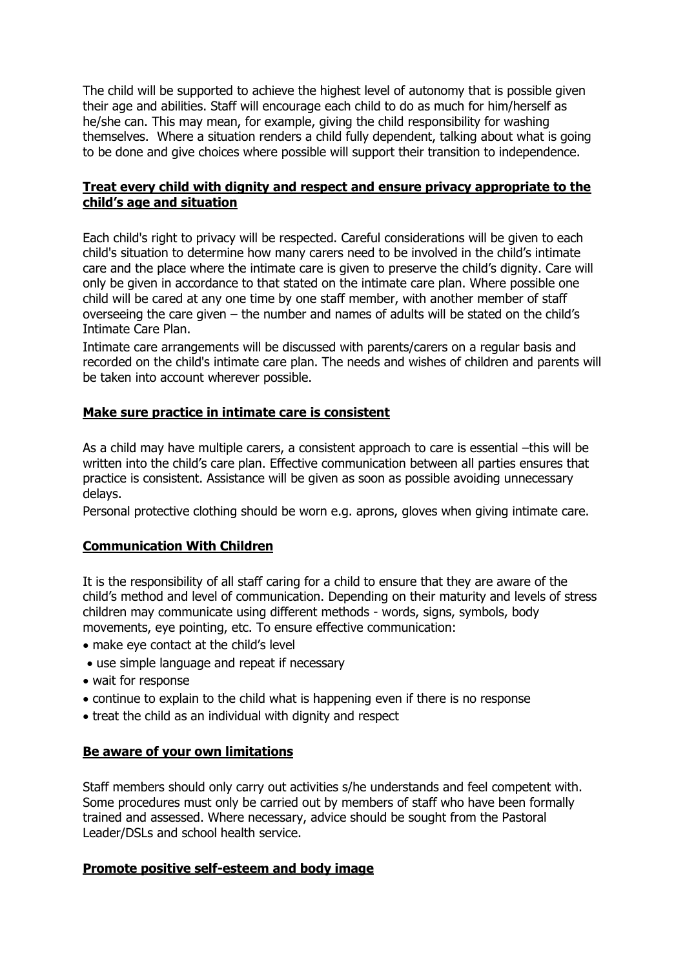The child will be supported to achieve the highest level of autonomy that is possible given their age and abilities. Staff will encourage each child to do as much for him/herself as he/she can. This may mean, for example, giving the child responsibility for washing themselves. Where a situation renders a child fully dependent, talking about what is going to be done and give choices where possible will support their transition to independence.

## **Treat every child with dignity and respect and ensure privacy appropriate to the child's age and situation**

Each child's right to privacy will be respected. Careful considerations will be given to each child's situation to determine how many carers need to be involved in the child's intimate care and the place where the intimate care is given to preserve the child's dignity. Care will only be given in accordance to that stated on the intimate care plan. Where possible one child will be cared at any one time by one staff member, with another member of staff overseeing the care given – the number and names of adults will be stated on the child's Intimate Care Plan.

Intimate care arrangements will be discussed with parents/carers on a regular basis and recorded on the child's intimate care plan. The needs and wishes of children and parents will be taken into account wherever possible.

## **Make sure practice in intimate care is consistent**

As a child may have multiple carers, a consistent approach to care is essential –this will be written into the child's care plan. Effective communication between all parties ensures that practice is consistent. Assistance will be given as soon as possible avoiding unnecessary delays.

Personal protective clothing should be worn e.g. aprons, gloves when giving intimate care.

## **Communication With Children**

It is the responsibility of all staff caring for a child to ensure that they are aware of the child's method and level of communication. Depending on their maturity and levels of stress children may communicate using different methods - words, signs, symbols, body movements, eye pointing, etc. To ensure effective communication:

- make eye contact at the child's level
- use simple language and repeat if necessary
- wait for response
- continue to explain to the child what is happening even if there is no response
- treat the child as an individual with dignity and respect

## **Be aware of your own limitations**

Staff members should only carry out activities s/he understands and feel competent with. Some procedures must only be carried out by members of staff who have been formally trained and assessed. Where necessary, advice should be sought from the Pastoral Leader/DSLs and school health service.

## **Promote positive self-esteem and body image**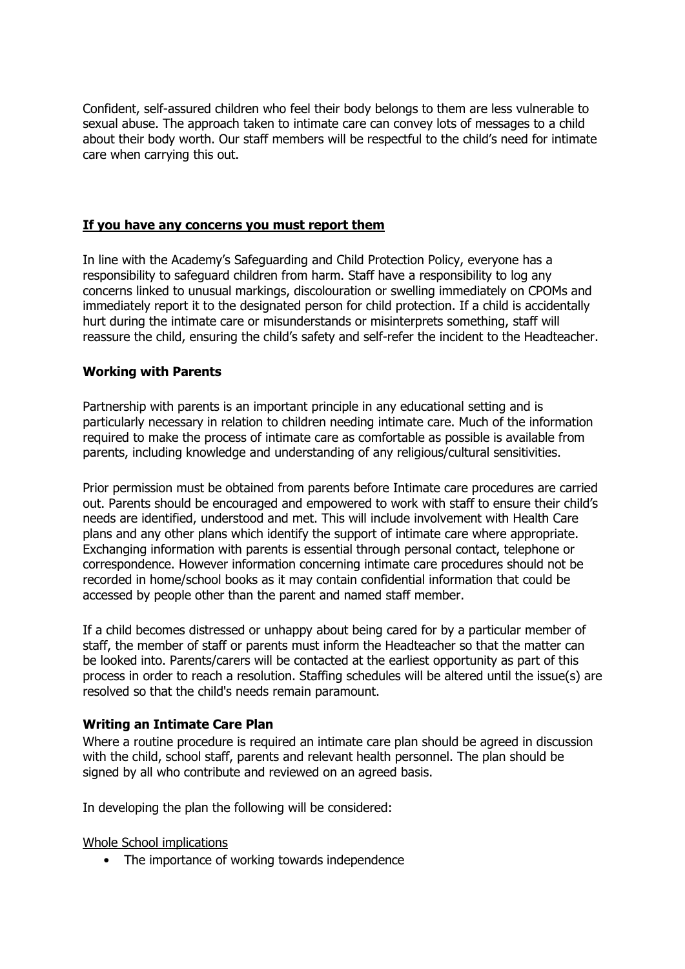Confident, self-assured children who feel their body belongs to them are less vulnerable to sexual abuse. The approach taken to intimate care can convey lots of messages to a child about their body worth. Our staff members will be respectful to the child's need for intimate care when carrying this out.

### **If you have any concerns you must report them**

In line with the Academy's Safeguarding and Child Protection Policy, everyone has a responsibility to safeguard children from harm. Staff have a responsibility to log any concerns linked to unusual markings, discolouration or swelling immediately on CPOMs and immediately report it to the designated person for child protection. If a child is accidentally hurt during the intimate care or misunderstands or misinterprets something, staff will reassure the child, ensuring the child's safety and self-refer the incident to the Headteacher.

### **Working with Parents**

Partnership with parents is an important principle in any educational setting and is particularly necessary in relation to children needing intimate care. Much of the information required to make the process of intimate care as comfortable as possible is available from parents, including knowledge and understanding of any religious/cultural sensitivities.

Prior permission must be obtained from parents before Intimate care procedures are carried out. Parents should be encouraged and empowered to work with staff to ensure their child's needs are identified, understood and met. This will include involvement with Health Care plans and any other plans which identify the support of intimate care where appropriate. Exchanging information with parents is essential through personal contact, telephone or correspondence. However information concerning intimate care procedures should not be recorded in home/school books as it may contain confidential information that could be accessed by people other than the parent and named staff member.

If a child becomes distressed or unhappy about being cared for by a particular member of staff, the member of staff or parents must inform the Headteacher so that the matter can be looked into. Parents/carers will be contacted at the earliest opportunity as part of this process in order to reach a resolution. Staffing schedules will be altered until the issue(s) are resolved so that the child's needs remain paramount.

#### **Writing an Intimate Care Plan**

Where a routine procedure is required an intimate care plan should be agreed in discussion with the child, school staff, parents and relevant health personnel. The plan should be signed by all who contribute and reviewed on an agreed basis.

In developing the plan the following will be considered:

Whole School implications

• The importance of working towards independence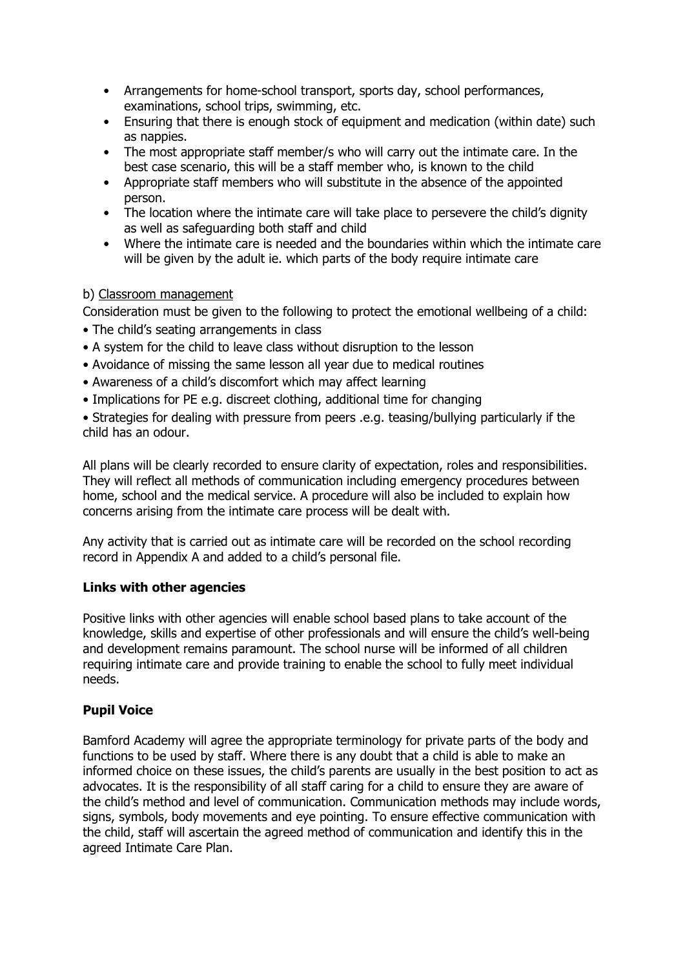- Arrangements for home-school transport, sports day, school performances, examinations, school trips, swimming, etc.
- Ensuring that there is enough stock of equipment and medication (within date) such as nappies.
- The most appropriate staff member/s who will carry out the intimate care. In the best case scenario, this will be a staff member who, is known to the child
- Appropriate staff members who will substitute in the absence of the appointed person.
- The location where the intimate care will take place to persevere the child's dignity as well as safeguarding both staff and child
- Where the intimate care is needed and the boundaries within which the intimate care will be given by the adult ie, which parts of the body require intimate care

## b) Classroom management

Consideration must be given to the following to protect the emotional wellbeing of a child:

- The child's seating arrangements in class
- A system for the child to leave class without disruption to the lesson
- Avoidance of missing the same lesson all year due to medical routines
- Awareness of a child's discomfort which may affect learning
- Implications for PE e.g. discreet clothing, additional time for changing

• Strategies for dealing with pressure from peers .e.g. teasing/bullying particularly if the child has an odour.

All plans will be clearly recorded to ensure clarity of expectation, roles and responsibilities. They will reflect all methods of communication including emergency procedures between home, school and the medical service. A procedure will also be included to explain how concerns arising from the intimate care process will be dealt with.

Any activity that is carried out as intimate care will be recorded on the school recording record in Appendix A and added to a child's personal file.

#### **Links with other agencies**

Positive links with other agencies will enable school based plans to take account of the knowledge, skills and expertise of other professionals and will ensure the child's well-being and development remains paramount. The school nurse will be informed of all children requiring intimate care and provide training to enable the school to fully meet individual needs.

## **Pupil Voice**

Bamford Academy will agree the appropriate terminology for private parts of the body and functions to be used by staff. Where there is any doubt that a child is able to make an informed choice on these issues, the child's parents are usually in the best position to act as advocates. It is the responsibility of all staff caring for a child to ensure they are aware of the child's method and level of communication. Communication methods may include words, signs, symbols, body movements and eye pointing. To ensure effective communication with the child, staff will ascertain the agreed method of communication and identify this in the agreed Intimate Care Plan.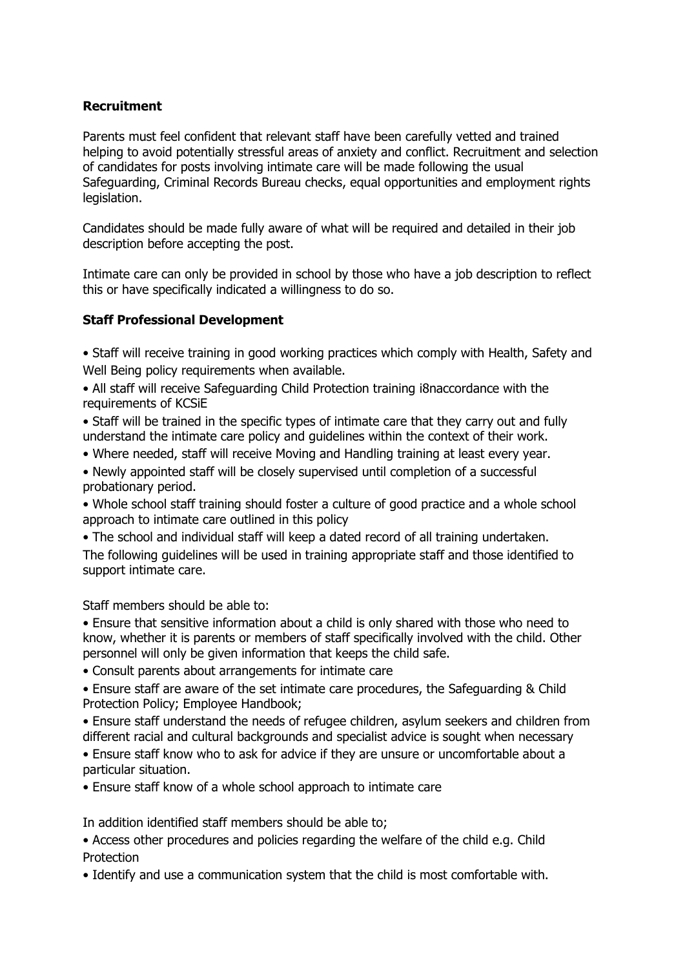### **Recruitment**

Parents must feel confident that relevant staff have been carefully vetted and trained helping to avoid potentially stressful areas of anxiety and conflict. Recruitment and selection of candidates for posts involving intimate care will be made following the usual Safeguarding, Criminal Records Bureau checks, equal opportunities and employment rights legislation.

Candidates should be made fully aware of what will be required and detailed in their job description before accepting the post.

Intimate care can only be provided in school by those who have a job description to reflect this or have specifically indicated a willingness to do so.

### **Staff Professional Development**

- Staff will receive training in good working practices which comply with Health, Safety and Well Being policy requirements when available.
- All staff will receive Safeguarding Child Protection training i8naccordance with the requirements of KCSiE
- Staff will be trained in the specific types of intimate care that they carry out and fully understand the intimate care policy and guidelines within the context of their work.
- Where needed, staff will receive Moving and Handling training at least every year.
- Newly appointed staff will be closely supervised until completion of a successful probationary period.
- Whole school staff training should foster a culture of good practice and a whole school approach to intimate care outlined in this policy
- The school and individual staff will keep a dated record of all training undertaken. The following guidelines will be used in training appropriate staff and those identified to support intimate care.

Staff members should be able to:

• Ensure that sensitive information about a child is only shared with those who need to know, whether it is parents or members of staff specifically involved with the child. Other personnel will only be given information that keeps the child safe.

- Consult parents about arrangements for intimate care
- Ensure staff are aware of the set intimate care procedures, the Safeguarding & Child Protection Policy; Employee Handbook;
- Ensure staff understand the needs of refugee children, asylum seekers and children from different racial and cultural backgrounds and specialist advice is sought when necessary
- Ensure staff know who to ask for advice if they are unsure or uncomfortable about a particular situation.
- Ensure staff know of a whole school approach to intimate care

In addition identified staff members should be able to;

- Access other procedures and policies regarding the welfare of the child e.g. Child Protection
- Identify and use a communication system that the child is most comfortable with.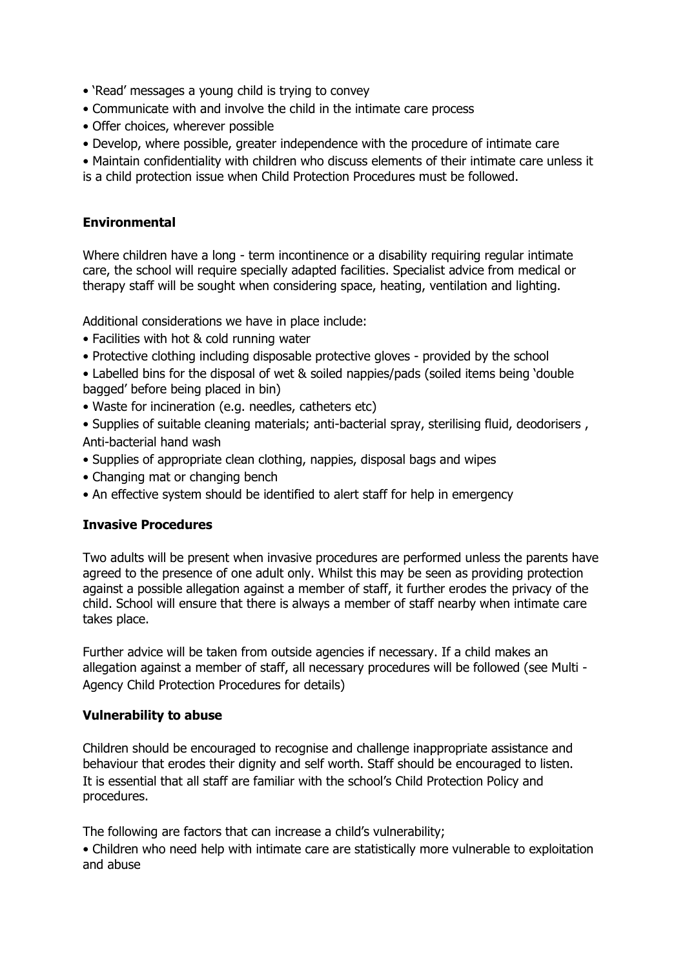- 'Read' messages a young child is trying to convey
- Communicate with and involve the child in the intimate care process
- Offer choices, wherever possible
- Develop, where possible, greater independence with the procedure of intimate care
- Maintain confidentiality with children who discuss elements of their intimate care unless it
- is a child protection issue when Child Protection Procedures must be followed.

### **Environmental**

Where children have a long - term incontinence or a disability requiring reqular intimate care, the school will require specially adapted facilities. Specialist advice from medical or therapy staff will be sought when considering space, heating, ventilation and lighting.

Additional considerations we have in place include:

- Facilities with hot & cold running water
- Protective clothing including disposable protective gloves provided by the school
- Labelled bins for the disposal of wet & soiled nappies/pads (soiled items being 'double bagged' before being placed in bin)
- Waste for incineration (e.g. needles, catheters etc)
- Supplies of suitable cleaning materials; anti-bacterial spray, sterilising fluid, deodorisers , Anti-bacterial hand wash
- Supplies of appropriate clean clothing, nappies, disposal bags and wipes
- Changing mat or changing bench
- An effective system should be identified to alert staff for help in emergency

#### **Invasive Procedures**

Two adults will be present when invasive procedures are performed unless the parents have agreed to the presence of one adult only. Whilst this may be seen as providing protection against a possible allegation against a member of staff, it further erodes the privacy of the child. School will ensure that there is always a member of staff nearby when intimate care takes place.

Further advice will be taken from outside agencies if necessary. If a child makes an allegation against a member of staff, all necessary procedures will be followed (see Multi - Agency Child Protection Procedures for details)

#### **Vulnerability to abuse**

Children should be encouraged to recognise and challenge inappropriate assistance and behaviour that erodes their dignity and self worth. Staff should be encouraged to listen. It is essential that all staff are familiar with the school's Child Protection Policy and procedures.

The following are factors that can increase a child's vulnerability;

• Children who need help with intimate care are statistically more vulnerable to exploitation and abuse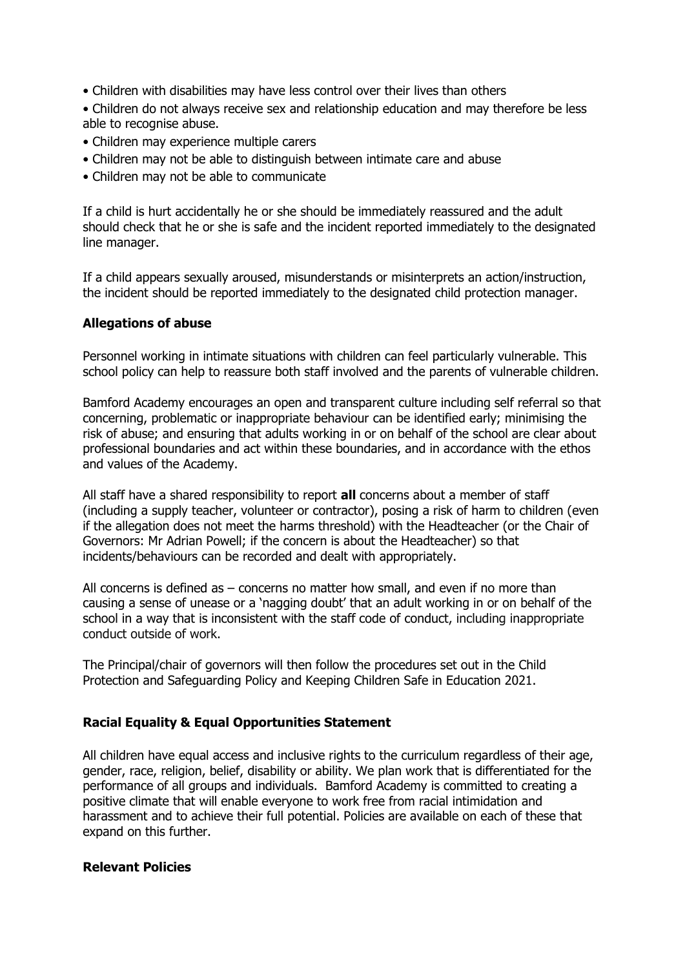- Children with disabilities may have less control over their lives than others
- Children do not always receive sex and relationship education and may therefore be less able to recognise abuse.
- Children may experience multiple carers
- Children may not be able to distinguish between intimate care and abuse
- Children may not be able to communicate

If a child is hurt accidentally he or she should be immediately reassured and the adult should check that he or she is safe and the incident reported immediately to the designated line manager.

If a child appears sexually aroused, misunderstands or misinterprets an action/instruction, the incident should be reported immediately to the designated child protection manager.

### **Allegations of abuse**

Personnel working in intimate situations with children can feel particularly vulnerable. This school policy can help to reassure both staff involved and the parents of vulnerable children.

Bamford Academy encourages an open and transparent culture including self referral so that concerning, problematic or inappropriate behaviour can be identified early; minimising the risk of abuse; and ensuring that adults working in or on behalf of the school are clear about professional boundaries and act within these boundaries, and in accordance with the ethos and values of the Academy.

All staff have a shared responsibility to report **all** concerns about a member of staff (including a supply teacher, volunteer or contractor), posing a risk of harm to children (even if the allegation does not meet the harms threshold) with the Headteacher (or the Chair of Governors: Mr Adrian Powell; if the concern is about the Headteacher) so that incidents/behaviours can be recorded and dealt with appropriately.

All concerns is defined as – concerns no matter how small, and even if no more than causing a sense of unease or a 'nagging doubt' that an adult working in or on behalf of the school in a way that is inconsistent with the staff code of conduct, including inappropriate conduct outside of work.

The Principal/chair of governors will then follow the procedures set out in the Child Protection and Safeguarding Policy and Keeping Children Safe in Education 2021.

#### **Racial Equality & Equal Opportunities Statement**

All children have equal access and inclusive rights to the curriculum regardless of their age, gender, race, religion, belief, disability or ability. We plan work that is differentiated for the performance of all groups and individuals. Bamford Academy is committed to creating a positive climate that will enable everyone to work free from racial intimidation and harassment and to achieve their full potential. Policies are available on each of these that expand on this further.

#### **Relevant Policies**